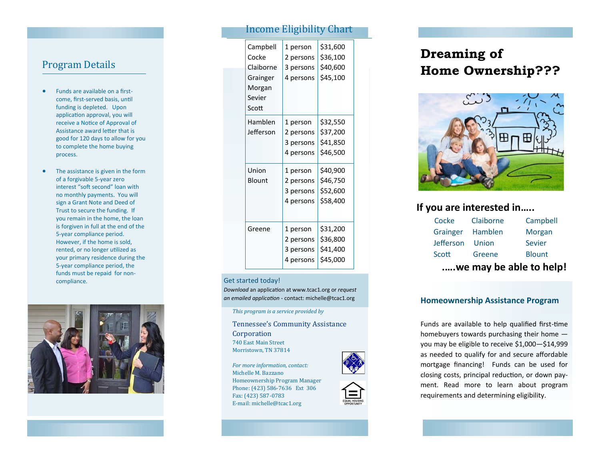#### Program Details

- Funds are available on a first come, first -served basis, until funding is depleted. Upon application approval, you will receive a Notice of Approval of Assistance award letter that is good for 120 days to allow for you to complete the home buying process.
- The assistance is given in the form of a forgivable 5 -year zero interest "soft second" loan with no monthly payments. You will sign a Grant Note and Deed of Trust to secure the funding. If you remain in the home, the loan is forgiven in full at the end of the 5-year compliance period. However, if the home is sold, rented, or no longer utilized as your primary residence during the 5-year compliance period, the funds must be repaid for non compliance.



#### Income Eligibility Chart

| Campbell<br>Cocke<br>Claiborne<br>Grainger<br>Morgan<br>Sevier<br>Scott | 1 person<br>2 persons<br>3 persons<br>4 persons | \$31,600<br>\$36,100<br>\$40,600<br>\$45,100 |
|-------------------------------------------------------------------------|-------------------------------------------------|----------------------------------------------|
| Hamblen<br>Jefferson                                                    | 1 person<br>2 persons<br>3 persons<br>4 persons | \$32,550<br>\$37,200<br>\$41,850<br>\$46,500 |
| Union<br>Blount                                                         | 1 person<br>2 persons<br>3 persons<br>4 persons | \$40,900<br>\$46,750<br>\$52,600<br>\$58,400 |
| Greene                                                                  | 1 person<br>2 persons<br>3 persons<br>4 persons | \$31,200<br>\$36,800<br>\$41,400<br>\$45,000 |

#### Get started today!

*Download* an application at www.tcac1.org or *request an emailed application*  - contact: michelle@tcac1.org

*This program is a service provided by*

Tennessee 's Community Assistance Corporation 740 East Main Street Morristown, TN 37814

*For more information, contact:*  Michelle M. Bazzano Homeownership Program Manager Phone: (423) 586 -7636 Ext 306 Fax: (423) 587 -0783 E -mail: michelle@tcac1.org

# **Dreaming of Home Ownership???**



## **If you are interested in…..**

| Cocke            | Claiborne | Campbell      |
|------------------|-----------|---------------|
| Grainger         | Hamblen   | Morgan        |
| <b>Jefferson</b> | Union     | <b>Sevier</b> |
| Scott            | Greene    | <b>Blount</b> |
|                  |           |               |

### **.….we may be able to help!**

#### **Homeownership Assistance Program**

Funds are available to help qualified first -time homebuyers towards purchasing their home you may be eligible to receive \$1,000 —\$14,999 as needed to qualify for and secure affordable mortgage financing! Funds can be used for closing costs, principal reduction, or down payment. Read more to learn about program requirements and determining eligibility.